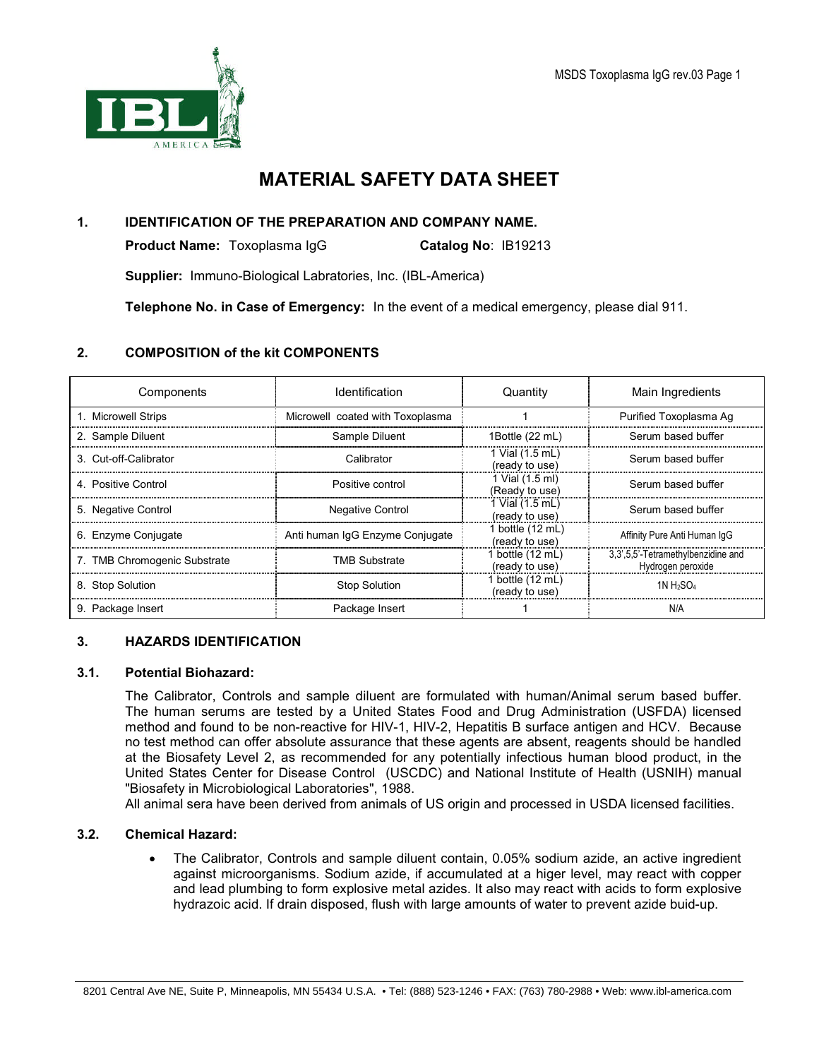

# MATERIAL SAFETY DATA SHEET

# 1. IDENTIFICATION OF THE PREPARATION AND COMPANY NAME.

**Product Name:** Toxoplasma IqG **Catalog No: IB19213** 

**Supplier:** Immuno-Biological Labratories, Inc. (IBL-America)

Telephone No. in Case of Emergency: In the event of a medical emergency, please dial 911.

# 2. COMPOSITION of the kit COMPONENTS

| Components                   | Identification                   | Quantity                           | Main Ingredients                                        |
|------------------------------|----------------------------------|------------------------------------|---------------------------------------------------------|
| 1. Microwell Strips          | Microwell coated with Toxoplasma |                                    | Purified Toxoplasma Ag                                  |
| 2. Sample Diluent            | Sample Diluent                   | 1Bottle (22 mL)                    | Serum based buffer                                      |
| 3. Cut-off-Calibrator        | Calibrator                       | 1 Vial (1.5 mL)<br>(ready to use)  | Serum based buffer                                      |
| 4 Positive Control           | Positive control                 | 1 Vial (1.5 ml)<br>(Ready to use)  | Serum based buffer                                      |
| 5. Negative Control          | <b>Negative Control</b>          | 1 Vial (1.5 mL)<br>(ready to use)  | Serum based buffer                                      |
| 6. Enzyme Conjugate          | Anti human IgG Enzyme Conjugate  | 1 bottle (12 mL)<br>(ready to use) | Affinity Pure Anti Human IqG                            |
| 7. TMB Chromogenic Substrate | <b>TMB Substrate</b>             | 1 bottle (12 mL)<br>(ready to use) | 3,3',5,5'-Tetramethylbenzidine and<br>Hydrogen peroxide |
| 8. Stop Solution             | <b>Stop Solution</b>             | 1 bottle (12 mL)<br>(ready to use) | 1N $H_2SO_4$                                            |
| 9. Package Insert            | Package Insert                   |                                    | N/A                                                     |

## 3. HAZARDS IDENTIFICATION

## 3.1. Potential Biohazard:

The Calibrator, Controls and sample diluent are formulated with human/Animal serum based buffer. The human serums are tested by a United States Food and Drug Administration (USFDA) licensed method and found to be non-reactive for HIV-1, HIV-2, Hepatitis B surface antigen and HCV. Because no test method can offer absolute assurance that these agents are absent, reagents should be handled at the Biosafety Level 2, as recommended for any potentially infectious human blood product, in the United States Center for Disease Control (USCDC) and National Institute of Health (USNIH) manual "Biosafety in Microbiological Laboratories", 1988.

All animal sera have been derived from animals of US origin and processed in USDA licensed facilities.

## 3.2. Chemical Hazard:

• The Calibrator, Controls and sample diluent contain, 0.05% sodium azide, an active ingredient against microorganisms. Sodium azide, if accumulated at a higer level, may react with copper and lead plumbing to form explosive metal azides. It also may react with acids to form explosive hydrazoic acid. If drain disposed, flush with large amounts of water to prevent azide buid-up.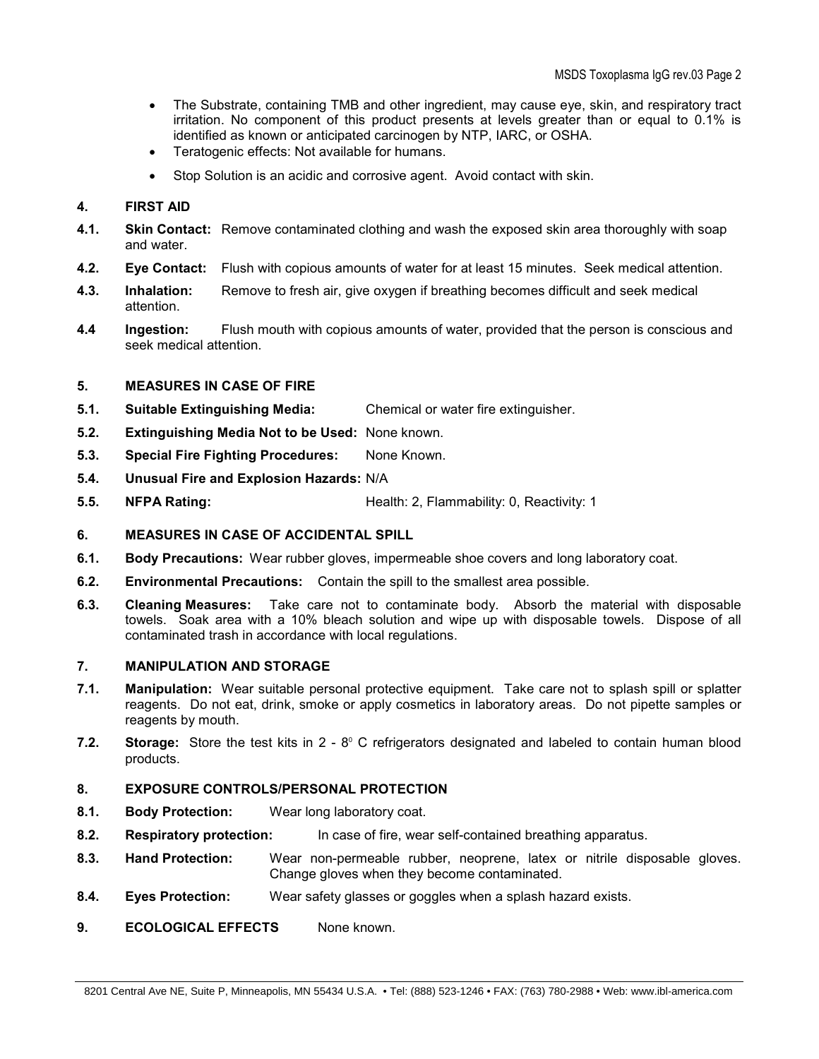- The Substrate, containing TMB and other ingredient, may cause eye, skin, and respiratory tract irritation. No component of this product presents at levels greater than or equal to 0.1% is identified as known or anticipated carcinogen by NTP, IARC, or OSHA.
- Teratogenic effects: Not available for humans.
- Stop Solution is an acidic and corrosive agent. Avoid contact with skin.

## 4. FIRST AID

- 4.1. Skin Contact: Remove contaminated clothing and wash the exposed skin area thoroughly with soap and water.
- 4.2. Eye Contact: Flush with copious amounts of water for at least 15 minutes. Seek medical attention.
- 4.3. Inhalation: Remove to fresh air, give oxygen if breathing becomes difficult and seek medical attention.
- **4.4 Ingestion:** Flush mouth with copious amounts of water, provided that the person is conscious and seek medical attention.

#### 5. MEASURES IN CASE OF FIRE

- 5.1. Suitable Extinguishing Media: Chemical or water fire extinguisher.
- 5.2. Extinguishing Media Not to be Used: None known.
- 5.3. Special Fire Fighting Procedures: None Known.
- 5.4. Unusual Fire and Explosion Hazards: N/A
- **5.5. NFPA Rating:** The Mealth: 2, Flammability: 0, Reactivity: 1

#### 6. MEASURES IN CASE OF ACCIDENTAL SPILL

- 6.1. Body Precautions: Wear rubber gloves, impermeable shoe covers and long laboratory coat.
- 6.2. Environmental Precautions: Contain the spill to the smallest area possible.
- 6.3. Cleaning Measures: Take care not to contaminate body. Absorb the material with disposable towels. Soak area with a 10% bleach solution and wipe up with disposable towels. Dispose of all contaminated trash in accordance with local regulations.

#### 7. MANIPULATION AND STORAGE

- 7.1. Manipulation: Wear suitable personal protective equipment. Take care not to splash spill or splatter reagents. Do not eat, drink, smoke or apply cosmetics in laboratory areas. Do not pipette samples or reagents by mouth.
- 7.2. Storage: Store the test kits in  $2 8^{\circ}$  C refrigerators designated and labeled to contain human blood products.

## 8. EXPOSURE CONTROLS/PERSONAL PROTECTION

- 8.1. Body Protection: Wear long laboratory coat.
- 8.2. Respiratory protection: In case of fire, wear self-contained breathing apparatus.
- 8.3. Hand Protection: Wear non-permeable rubber, neoprene, latex or nitrile disposable gloves. Change gloves when they become contaminated.
- 8.4. Eyes Protection: Wear safety glasses or goggles when a splash hazard exists.
- 9. **ECOLOGICAL EFFECTS** None known.